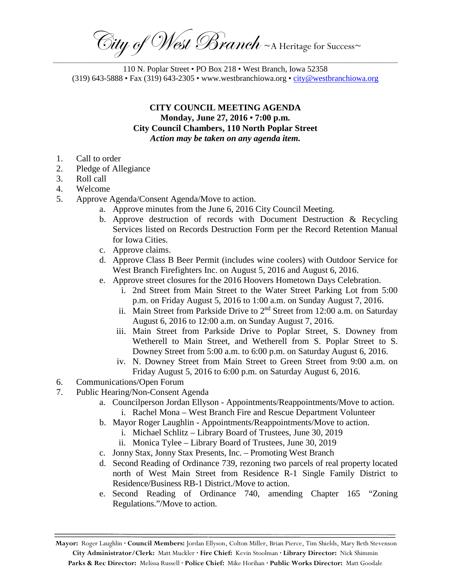City of West Branch ~ A Heritage for Success~ \_\_\_\_\_\_\_\_\_\_\_\_\_\_\_\_\_\_\_\_\_\_\_\_\_\_\_\_\_\_\_\_\_\_\_\_\_\_\_\_\_\_\_\_\_\_\_\_\_\_\_\_\_\_\_\_\_\_\_\_\_\_\_\_\_\_\_\_\_\_\_\_\_\_\_\_\_\_\_\_\_\_\_\_\_\_\_\_\_\_\_\_\_\_\_\_\_\_\_\_\_\_\_\_\_\_\_\_\_\_\_\_\_\_\_\_\_

110 N. Poplar Street • PO Box 218 • West Branch, Iowa 52358 (319) 643-5888 • Fax (319) 643-2305 • www.westbranchiowa.org • [city@westbranchiowa.org](mailto:city@westbranchiowa.org)

## **CITY COUNCIL MEETING AGENDA Monday, June 27, 2016 • 7:00 p.m. City Council Chambers, 110 North Poplar Street** *Action may be taken on any agenda item.*

- 1. Call to order
- 2. Pledge of Allegiance
- 3. Roll call
- 4. Welcome
- 5. Approve Agenda/Consent Agenda/Move to action.
	- a. Approve minutes from the June 6, 2016 City Council Meeting.
	- b. Approve destruction of records with Document Destruction & Recycling Services listed on Records Destruction Form per the Record Retention Manual for Iowa Cities.
	- c. Approve claims.
	- d. Approve Class B Beer Permit (includes wine coolers) with Outdoor Service for West Branch Firefighters Inc. on August 5, 2016 and August 6, 2016.
	- e. Approve street closures for the 2016 Hoovers Hometown Days Celebration.
		- i. 2nd Street from Main Street to the Water Street Parking Lot from 5:00 p.m. on Friday August 5, 2016 to 1:00 a.m. on Sunday August 7, 2016.
		- ii. Main Street from Parkside Drive to 2<sup>nd</sup> Street from 12:00 a.m. on Saturday August 6, 2016 to 12:00 a.m. on Sunday August 7, 2016.
		- iii. Main Street from Parkside Drive to Poplar Street, S. Downey from Wetherell to Main Street, and Wetherell from S. Poplar Street to S. Downey Street from 5:00 a.m. to 6:00 p.m. on Saturday August 6, 2016.
		- iv. N. Downey Street from Main Street to Green Street from 9:00 a.m. on Friday August 5, 2016 to 6:00 p.m. on Saturday August 6, 2016.
- 6. Communications/Open Forum
- 7. Public Hearing/Non-Consent Agenda
	- a. Councilperson Jordan Ellyson Appointments/Reappointments/Move to action. i. Rachel Mona – West Branch Fire and Rescue Department Volunteer
	- b. Mayor Roger Laughlin Appointments/Reappointments/Move to action.
		- i. Michael Schlitz Library Board of Trustees, June 30, 2019
		- ii. Monica Tylee Library Board of Trustees, June 30, 2019
	- c. Jonny Stax, Jonny Stax Presents, Inc. Promoting West Branch
	- d. Second Reading of Ordinance 739, rezoning two parcels of real property located north of West Main Street from Residence R-1 Single Family District to Residence/Business RB-1 District./Move to action.
	- e. Second Reading of Ordinance 740, amending Chapter 165 "Zoning Regulations."/Move to action.

**Mayor:** Roger Laughlin **· Council Members:** Jordan Ellyson, Colton Miller, Brian Pierce, Tim Shields, Mary Beth Stevenson **City Administrator/Clerk:** Matt Muckler **· Fire Chief:** Kevin Stoolman **· Library Director:** Nick Shimmin **Parks & Rec Director:** Melissa Russell **· Police Chief:** Mike Horihan **· Public Works Director:** Matt Goodale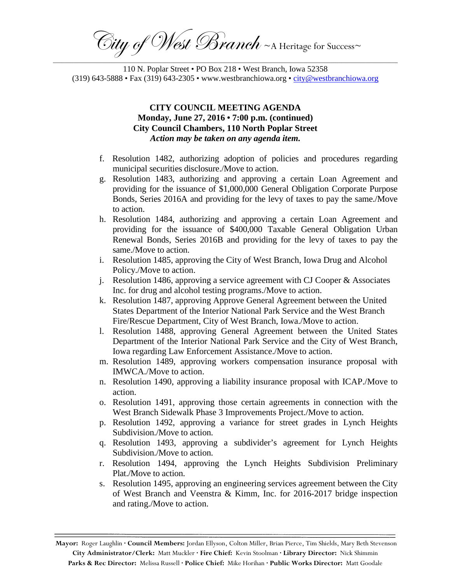City of West Branch ~ A Heritage for Success~ \_\_\_\_\_\_\_\_\_\_\_\_\_\_\_\_\_\_\_\_\_\_\_\_\_\_\_\_\_\_\_\_\_\_\_\_\_\_\_\_\_\_\_\_\_\_\_\_\_\_\_\_\_\_\_\_\_\_\_\_\_\_\_\_\_\_\_\_\_\_\_\_\_\_\_\_\_\_\_\_\_\_\_\_\_\_\_\_\_\_\_\_\_\_\_\_\_\_\_\_\_\_\_\_\_\_\_\_\_\_\_\_\_\_\_\_\_

110 N. Poplar Street • PO Box 218 • West Branch, Iowa 52358 (319) 643-5888 • Fax (319) 643-2305 • www.westbranchiowa.org • [city@westbranchiowa.org](mailto:city@westbranchiowa.org)

## **CITY COUNCIL MEETING AGENDA Monday, June 27, 2016 • 7:00 p.m. (continued) City Council Chambers, 110 North Poplar Street** *Action may be taken on any agenda item.*

- f. Resolution 1482, authorizing adoption of policies and procedures regarding municipal securities disclosure./Move to action.
- g. Resolution 1483, authorizing and approving a certain Loan Agreement and providing for the issuance of \$1,000,000 General Obligation Corporate Purpose Bonds, Series 2016A and providing for the levy of taxes to pay the same./Move to action.
- h. Resolution 1484, authorizing and approving a certain Loan Agreement and providing for the issuance of \$400,000 Taxable General Obligation Urban Renewal Bonds, Series 2016B and providing for the levy of taxes to pay the same./Move to action.
- i. Resolution 1485, approving the City of West Branch, Iowa Drug and Alcohol Policy./Move to action.
- j. Resolution 1486, approving a service agreement with CJ Cooper & Associates Inc. for drug and alcohol testing programs./Move to action.
- k. Resolution 1487, approving Approve General Agreement between the United States Department of the Interior National Park Service and the West Branch Fire/Rescue Department, City of West Branch, Iowa./Move to action.
- l. Resolution 1488, approving General Agreement between the United States Department of the Interior National Park Service and the City of West Branch, Iowa regarding Law Enforcement Assistance./Move to action.
- m. Resolution 1489, approving workers compensation insurance proposal with IMWCA./Move to action.
- n. Resolution 1490, approving a liability insurance proposal with ICAP./Move to action.
- o. Resolution 1491, approving those certain agreements in connection with the West Branch Sidewalk Phase 3 Improvements Project./Move to action.
- p. Resolution 1492, approving a variance for street grades in Lynch Heights Subdivision./Move to action.
- q. Resolution 1493, approving a subdivider's agreement for Lynch Heights Subdivision./Move to action.
- r. Resolution 1494, approving the Lynch Heights Subdivision Preliminary Plat./Move to action.
- s. Resolution 1495, approving an engineering services agreement between the City of West Branch and Veenstra & Kimm, Inc. for 2016-2017 bridge inspection and rating./Move to action.

**Mayor:** Roger Laughlin **· Council Members:** Jordan Ellyson, Colton Miller, Brian Pierce, Tim Shields, Mary Beth Stevenson **City Administrator/Clerk:** Matt Muckler **· Fire Chief:** Kevin Stoolman **· Library Director:** Nick Shimmin **Parks & Rec Director:** Melissa Russell **· Police Chief:** Mike Horihan **· Public Works Director:** Matt Goodale